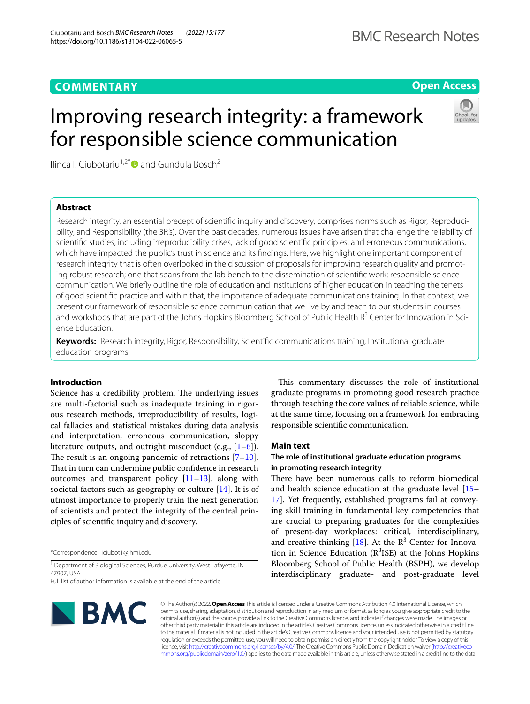# **COMMENTARY**

# **Open Access**

# Improving research integrity: a framework for responsible science communication



Ilinca I. Ciubotariu<sup>1,2\*</sup> and Gundula Bosch<sup>2</sup>

# **Abstract**

Research integrity, an essential precept of scientifc inquiry and discovery, comprises norms such as Rigor, Reproducibility, and Responsibility (the 3R's). Over the past decades, numerous issues have arisen that challenge the reliability of scientifc studies, including irreproducibility crises, lack of good scientifc principles, and erroneous communications, which have impacted the public's trust in science and its fndings. Here, we highlight one important component of research integrity that is often overlooked in the discussion of proposals for improving research quality and promoting robust research; one that spans from the lab bench to the dissemination of scientifc work: responsible science communication. We briefy outline the role of education and institutions of higher education in teaching the tenets of good scientifc practice and within that, the importance of adequate communications training. In that context, we present our framework of responsible science communication that we live by and teach to our students in courses and workshops that are part of the Johns Hopkins Bloomberg School of Public Health R<sup>3</sup> Center for Innovation in Science Education.

**Keywords:** Research integrity, Rigor, Responsibility, Scientifc communications training, Institutional graduate education programs

## **Introduction**

Science has a credibility problem. The underlying issues are multi-factorial such as inadequate training in rigorous research methods, irreproducibility of results, logical fallacies and statistical mistakes during data analysis and interpretation, erroneous communication, sloppy literature outputs, and outright misconduct (e.g.,  $[1-6]$  $[1-6]$ ). The result is an ongoing pandemic of retractions  $[7-10]$  $[7-10]$ . That in turn can undermine public confidence in research outcomes and transparent policy [\[11](#page-4-1)[–13\]](#page-4-2), along with societal factors such as geography or culture [\[14\]](#page-4-3). It is of utmost importance to properly train the next generation of scientists and protect the integrity of the central principles of scientifc inquiry and discovery.

\*Correspondence: iciubot1@jhmi.edu

<sup>1</sup> Department of Biological Sciences, Purdue University, West Lafayette, IN 47907, USA

Full list of author information is available at the end of the article

BMC

This commentary discusses the role of institutional graduate programs in promoting good research practice through teaching the core values of reliable science, while at the same time, focusing on a framework for embracing responsible scientifc communication.

## **Main text**

## **The role of institutional graduate education programs in promoting research integrity**

There have been numerous calls to reform biomedical and health science education at the graduate level [[15–](#page-4-4) [17\]](#page-4-5). Yet frequently, established programs fail at conveying skill training in fundamental key competencies that are crucial to preparing graduates for the complexities of present-day workplaces: critical, interdisciplinary, and creative thinking  $[18]$  $[18]$ . At the  $\mathbb{R}^3$  Center for Innovation in Science Education  $(R^3ISE)$  at the Johns Hopkins Bloomberg School of Public Health (BSPH), we develop interdisciplinary graduate- and post-graduate level

© The Author(s) 2022. **Open Access** This article is licensed under a Creative Commons Attribution 4.0 International License, which permits use, sharing, adaptation, distribution and reproduction in any medium or format, as long as you give appropriate credit to the original author(s) and the source, provide a link to the Creative Commons licence, and indicate if changes were made. The images or other third party material in this article are included in the article's Creative Commons licence, unless indicated otherwise in a credit line to the material. If material is not included in the article's Creative Commons licence and your intended use is not permitted by statutory regulation or exceeds the permitted use, you will need to obtain permission directly from the copyright holder. To view a copy of this licence, visit [http://creativecommons.org/licenses/by/4.0/.](http://creativecommons.org/licenses/by/4.0/) The Creative Commons Public Domain Dedication waiver ([http://creativeco](http://creativecommons.org/publicdomain/zero/1.0/) [mmons.org/publicdomain/zero/1.0/](http://creativecommons.org/publicdomain/zero/1.0/)) applies to the data made available in this article, unless otherwise stated in a credit line to the data.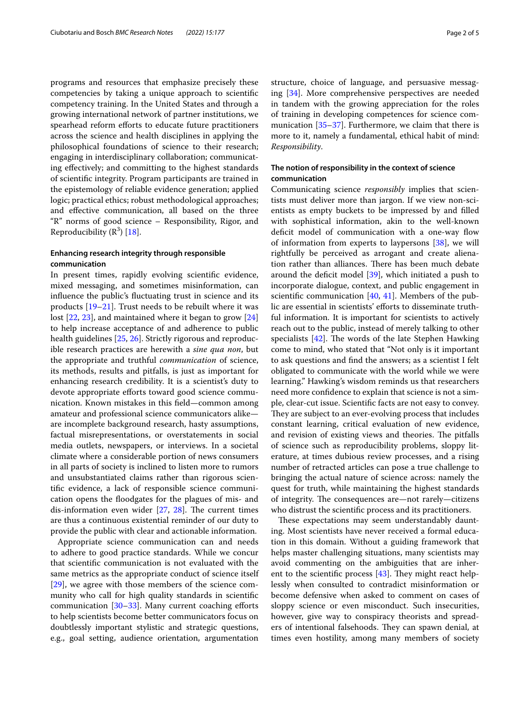programs and resources that emphasize precisely these competencies by taking a unique approach to scientifc competency training. In the United States and through a growing international network of partner institutions, we spearhead reform efforts to educate future practitioners across the science and health disciplines in applying the philosophical foundations of science to their research; engaging in interdisciplinary collaboration; communicating efectively; and committing to the highest standards of scientifc integrity. Program participants are trained in the epistemology of reliable evidence generation; applied logic; practical ethics; robust methodological approaches; and efective communication, all based on the three "R" norms of good science – Responsibility, Rigor, and Reproducibility  $(\mathbb{R}^3)$  [[18](#page-4-6)].

## **Enhancing research integrity through responsible communication**

In present times, rapidly evolving scientifc evidence, mixed messaging, and sometimes misinformation, can infuence the public's fuctuating trust in science and its products [\[19](#page-4-7)[–21\]](#page-4-8). Trust needs to be rebuilt where it was lost [\[22](#page-4-9), [23\]](#page-4-10), and maintained where it began to grow [[24](#page-4-11)] to help increase acceptance of and adherence to public health guidelines [[25](#page-4-12), [26\]](#page-4-13). Strictly rigorous and reproducible research practices are herewith a *sine qua non*, but the appropriate and truthful *communication* of science, its methods, results and pitfalls, is just as important for enhancing research credibility. It is a scientist's duty to devote appropriate efforts toward good science communication. Known mistakes in this feld—common among amateur and professional science communicators alike are incomplete background research, hasty assumptions, factual misrepresentations, or overstatements in social media outlets, newspapers, or interviews. In a societal climate where a considerable portion of news consumers in all parts of society is inclined to listen more to rumors and unsubstantiated claims rather than rigorous scientifc evidence, a lack of responsible science communication opens the foodgates for the plagues of mis- and dis-information even wider  $[27, 28]$  $[27, 28]$  $[27, 28]$  $[27, 28]$ . The current times are thus a continuous existential reminder of our duty to provide the public with clear and actionable information.

Appropriate science communication can and needs to adhere to good practice standards. While we concur that scientifc communication is not evaluated with the same metrics as the appropriate conduct of science itself [[29\]](#page-4-16), we agree with those members of the science community who call for high quality standards in scientifc communication [\[30](#page-4-17)–[33\]](#page-4-18). Many current coaching efforts to help scientists become better communicators focus on doubtlessly important stylistic and strategic questions, e.g., goal setting, audience orientation, argumentation structure, choice of language, and persuasive messaging [[34\]](#page-4-19). More comprehensive perspectives are needed in tandem with the growing appreciation for the roles of training in developing competences for science communication  $[35-37]$  $[35-37]$  $[35-37]$ . Furthermore, we claim that there is more to it, namely a fundamental, ethical habit of mind: *Responsibility*.

## **The notion of responsibility in the context of science communication**

Communicating science *responsibly* implies that scientists must deliver more than jargon. If we view non-scientists as empty buckets to be impressed by and flled with sophistical information, akin to the well-known deficit model of communication with a one-way flow of information from experts to laypersons [[38](#page-4-22)], we will rightfully be perceived as arrogant and create alienation rather than alliances. There has been much debate around the deficit model  $[39]$ , which initiated a push to incorporate dialogue, context, and public engagement in scientific communication  $[40, 41]$  $[40, 41]$  $[40, 41]$  $[40, 41]$ . Members of the public are essential in scientists' efforts to disseminate truthful information. It is important for scientists to actively reach out to the public, instead of merely talking to other specialists  $[42]$ . The words of the late Stephen Hawking come to mind, who stated that "Not only is it important to ask questions and fnd the answers; as a scientist I felt obligated to communicate with the world while we were learning." Hawking's wisdom reminds us that researchers need more confdence to explain that science is not a simple, clear-cut issue. Scientifc facts are not easy to convey. They are subject to an ever-evolving process that includes constant learning, critical evaluation of new evidence, and revision of existing views and theories. The pitfalls of science such as reproducibility problems, sloppy literature, at times dubious review processes, and a rising number of retracted articles can pose a true challenge to bringing the actual nature of science across: namely the quest for truth, while maintaining the highest standards of integrity. The consequences are—not rarely—citizens who distrust the scientifc process and its practitioners.

These expectations may seem understandably daunting. Most scientists have never received a formal education in this domain. Without a guiding framework that helps master challenging situations, many scientists may avoid commenting on the ambiguities that are inherent to the scientific process  $[43]$ . They might react helplessly when consulted to contradict misinformation or become defensive when asked to comment on cases of sloppy science or even misconduct. Such insecurities, however, give way to conspiracy theorists and spreaders of intentional falsehoods. They can spawn denial, at times even hostility, among many members of society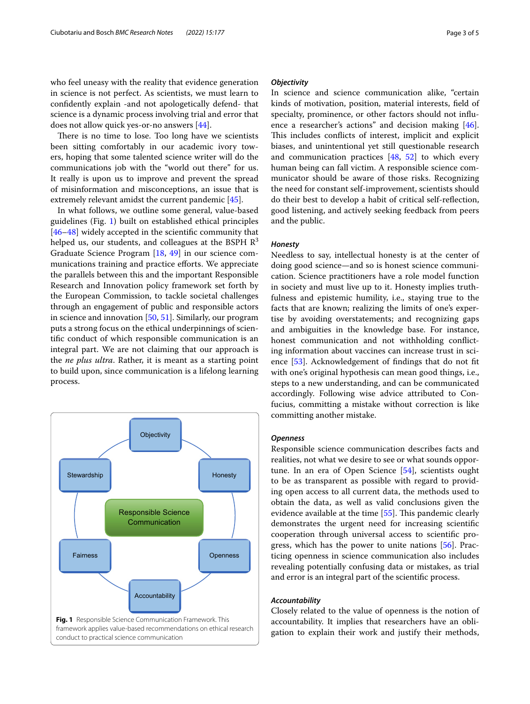who feel uneasy with the reality that evidence generation in science is not perfect. As scientists, we must learn to confdently explain -and not apologetically defend- that science is a dynamic process involving trial and error that does not allow quick yes-or-no answers [[44](#page-4-28)].

There is no time to lose. Too long have we scientists been sitting comfortably in our academic ivory towers, hoping that some talented science writer will do the communications job with the "world out there" for us. It really is upon us to improve and prevent the spread of misinformation and misconceptions, an issue that is extremely relevant amidst the current pandemic [\[45](#page-4-29)].

In what follows, we outline some general, value-based guidelines (Fig. [1\)](#page-2-0) built on established ethical principles [[46–](#page-4-30)[48](#page-4-31)] widely accepted in the scientifc community that helped us, our students, and colleagues at the BSPH  $\mathbb{R}^3$ Graduate Science Program [[18,](#page-4-6) [49](#page-4-32)] in our science communications training and practice eforts. We appreciate the parallels between this and the important Responsible Research and Innovation policy framework set forth by the European Commission, to tackle societal challenges through an engagement of public and responsible actors in science and innovation [\[50](#page-4-33), [51\]](#page-4-34). Similarly, our program puts a strong focus on the ethical underpinnings of scientifc conduct of which responsible communication is an integral part. We are not claiming that our approach is the *ne plus ultra*. Rather, it is meant as a starting point to build upon, since communication is a lifelong learning process.

<span id="page-2-0"></span>

## *Objectivity*

In science and science communication alike, "certain kinds of motivation, position, material interests, feld of specialty, prominence, or other factors should not infuence a researcher's actions" and decision making [\[46](#page-4-30)]. This includes conflicts of interest, implicit and explicit biases, and unintentional yet still questionable research and communication practices [[48,](#page-4-31) [52\]](#page-4-35) to which every human being can fall victim. A responsible science communicator should be aware of those risks. Recognizing the need for constant self-improvement, scientists should do their best to develop a habit of critical self-refection, good listening, and actively seeking feedback from peers and the public.

#### *Honesty*

Needless to say, intellectual honesty is at the center of doing good science—and so is honest science communication. Science practitioners have a role model function in society and must live up to it. Honesty implies truthfulness and epistemic humility, i.e., staying true to the facts that are known; realizing the limits of one's expertise by avoiding overstatements; and recognizing gaps and ambiguities in the knowledge base. For instance, honest communication and not withholding conficting information about vaccines can increase trust in sci-ence [\[53](#page-4-36)]. Acknowledgement of findings that do not fit with one's original hypothesis can mean good things, i.e., steps to a new understanding, and can be communicated accordingly. Following wise advice attributed to Confucius, committing a mistake without correction is like committing another mistake.

## *Openness*

Responsible science communication describes facts and realities, not what we desire to see or what sounds opportune. In an era of Open Science [\[54\]](#page-4-37), scientists ought to be as transparent as possible with regard to providing open access to all current data, the methods used to obtain the data, as well as valid conclusions given the evidence available at the time [\[55](#page-4-38)]. This pandemic clearly demonstrates the urgent need for increasing scientifc cooperation through universal access to scientifc progress, which has the power to unite nations [[56\]](#page-4-39). Practicing openness in science communication also includes revealing potentially confusing data or mistakes, as trial and error is an integral part of the scientifc process.

## *Accountability*

Closely related to the value of openness is the notion of accountability. It implies that researchers have an obligation to explain their work and justify their methods,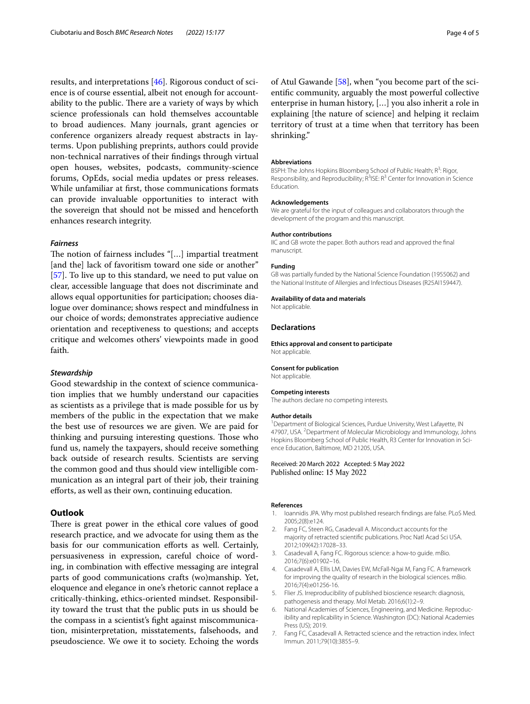results, and interpretations [[46\]](#page-4-30). Rigorous conduct of science is of course essential, albeit not enough for accountability to the public. There are a variety of ways by which science professionals can hold themselves accountable to broad audiences. Many journals, grant agencies or conference organizers already request abstracts in layterms. Upon publishing preprints, authors could provide non-technical narratives of their fndings through virtual open houses, websites, podcasts, community-science forums, OpEds, social media updates or press releases. While unfamiliar at frst, those communications formats can provide invaluable opportunities to interact with the sovereign that should not be missed and henceforth enhances research integrity.

#### *Fairness*

The notion of fairness includes "[...] impartial treatment [and the] lack of favoritism toward one side or another" [[57\]](#page-4-40). To live up to this standard, we need to put value on clear, accessible language that does not discriminate and allows equal opportunities for participation; chooses dialogue over dominance; shows respect and mindfulness in our choice of words; demonstrates appreciative audience orientation and receptiveness to questions; and accepts critique and welcomes others' viewpoints made in good faith.

## *Stewardship*

Good stewardship in the context of science communication implies that we humbly understand our capacities as scientists as a privilege that is made possible for us by members of the public in the expectation that we make the best use of resources we are given. We are paid for thinking and pursuing interesting questions. Those who fund us, namely the taxpayers, should receive something back outside of research results. Scientists are serving the common good and thus should view intelligible communication as an integral part of their job, their training eforts, as well as their own, continuing education.

## **Outlook**

There is great power in the ethical core values of good research practice, and we advocate for using them as the basis for our communication eforts as well. Certainly, persuasiveness in expression, careful choice of wording, in combination with efective messaging are integral parts of good communications crafts (wo)manship. Yet, eloquence and elegance in one's rhetoric cannot replace a critically-thinking, ethics-oriented mindset. Responsibility toward the trust that the public puts in us should be the compass in a scientist's fght against miscommunication, misinterpretation, misstatements, falsehoods, and pseudoscience. We owe it to society. Echoing the words of Atul Gawande [[58\]](#page-4-41), when "you become part of the scientifc community, arguably the most powerful collective enterprise in human history, […] you also inherit a role in explaining [the nature of science] and helping it reclaim territory of trust at a time when that territory has been shrinking."

#### **Abbreviations**

BSPH: The Johns Hopkins Bloomberg School of Public Health; R<sup>3</sup>: Rigor, Responsibility, and Reproducibility;  $R^3$ ISE:  $R^3$  Center for Innovation in Science Education.

#### **Acknowledgements**

We are grateful for the input of colleagues and collaborators through the development of the program and this manuscript.

#### **Author contributions**

IIC and GB wrote the paper. Both authors read and approved the fnal manuscript.

#### **Funding**

GB was partially funded by the National Science Foundation (1955062) and the National Institute of Allergies and Infectious Diseases (R25AI159447).

#### **Availability of data and materials**

Not applicable.

#### **Declarations**

**Ethics approval and consent to participate** Not applicable.

## **Consent for publication**

Not applicable.

#### **Competing interests**

The authors declare no competing interests.

#### **Author details**

<sup>1</sup> Department of Biological Sciences, Purdue University, West Lafayette, IN 47907, USA. <sup>2</sup> Department of Molecular Microbiology and Immunology, Johns Hopkins Bloomberg School of Public Health, R3 Center for Innovation in Science Education, Baltimore, MD 21205, USA.

Received: 20 March 2022 Accepted: 5 May 2022 Published online: 15 May 2022

#### **References**

- <span id="page-3-0"></span>1. Ioannidis JPA. Why most published research fndings are false. PLoS Med. 2005;2(8):e124.
- 2. Fang FC, Steen RG, Casadevall A. Misconduct accounts for the majority of retracted scientifc publications. Proc Natl Acad Sci USA. 2012;109(42):17028–33.
- 3. Casadevall A, Fang FC. Rigorous science: a how-to guide. mBio. 2016;7(6):e01902–16.
- 4. Casadevall A, Ellis LM, Davies EW, McFall-Ngai M, Fang FC. A framework for improving the quality of research in the biological sciences. mBio. 2016;7(4):e01256-16.
- 5. Flier JS. Irreproducibility of published bioscience research: diagnosis, pathogenesis and therapy. Mol Metab. 2016;6(1):2–9.
- <span id="page-3-1"></span>6. National Academies of Sciences, Engineering, and Medicine. Reproducibility and replicability in Science. Washington (DC): National Academies Press (US); 2019.
- <span id="page-3-2"></span>7. Fang FC, Casadevall A. Retracted science and the retraction index. Infect Immun. 2011;79(10):3855–9.